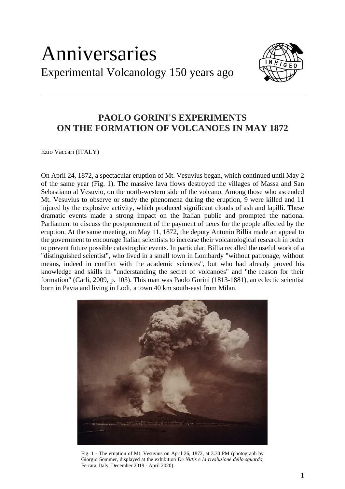## Anniversaries Experimental Volcanology 150 years ago



## **PAOLO GORINI'S EXPERIMENTS ON THE FORMATION OF VOLCANOES IN MAY 1872**

Ezio Vaccari (ITALY)

On April 24, 1872, a spectacular eruption of Mt. Vesuvius began, which continued until May 2 of the same year (Fig. 1). The massive lava flows destroyed the villages of Massa and San Sebastiano al Vesuvio, on the north-western side of the volcano. Among those who ascended Mt. Vesuvius to observe or study the phenomena during the eruption, 9 were killed and 11 injured by the explosive activity, which produced significant clouds of ash and lapilli. These dramatic events made a strong impact on the Italian public and prompted the national Parliament to discuss the postponement of the payment of taxes for the people affected by the eruption. At the same meeting, on May 11, 1872, the deputy Antonio Billia made an appeal to the government to encourage Italian scientists to increase their volcanological research in order to prevent future possible catastrophic events. In particular, Billia recalled the useful work of a "distinguished scientist", who lived in a small town in Lombardy "without patronage, without means, indeed in conflict with the academic sciences", but who had already proved his knowledge and skills in "understanding the secret of volcanoes" and "the reason for their formation" (Carli, 2009, p. 103). This man was Paolo Gorini (1813-1881), an eclectic scientist born in Pavia and living in Lodi, a town 40 km south-east from Milan.



Fig. 1 - The eruption of Mt. Vesuvius on April 26, 1872, at 3.30 PM (photograph by Giorgio Sommer, displayed at the exhibition *De Nittis e la rivoluzione dello sguardo*, Ferrara, Italy, December 2019 - April 2020).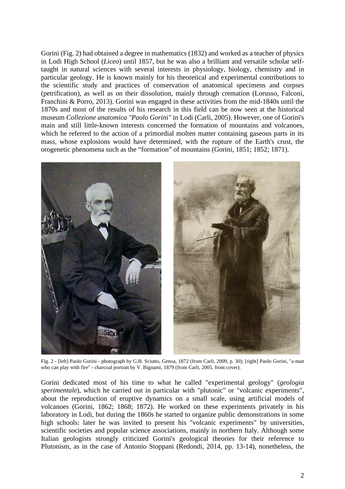Gorini (Fig. 2) had obtained a degree in mathematics (1832) and worked as a teacher of physics in Lodi High School (*Liceo*) until 1857, but he was also a brilliant and versatile scholar selftaught in natural sciences with several interests in physiology, biology, chemistry and in particular geology. He is known mainly for his theoretical and experimental contributions to the scientific study and practices of conservation of anatomical specimens and corpses (petrification), as well as on their dissolution, mainly through cremation (Lorusso, Falconi, Franchini & Porro, 2013). Gorini was engaged in these activities from the mid-1840s until the 1870s and most of the results of his research in this field can be now seen at the historical museum *Collezione anatomica "Paolo Gorini"* in Lodi (Carli, 2005). However, one of Gorini's main and still little-known interests concerned the formation of mountains and volcanoes, which he referred to the action of a primordial molten matter containing gaseous parts in its mass, whose explosions would have determined, with the rupture of the Earth's crust, the orogenetic phenomena such as the "formation" of mountains (Gorini, 1851; 1852; 1871).



Fig. 2 - [left] Paolo Gorini - photograph by G.B. Sciutto, Genoa, 1872 (from Carli, 2009, p. 30); [right] Paolo Gorini, "a man who can play with fire" - charcoal portrait by V. Bignami, 1879 (from Carli, 2005, front cover).

Gorini dedicated most of his time to what he called "experimental geology" (*geologia sperimentale*), which he carried out in particular with "plutonic" or "volcanic experiments", about the reproduction of eruptive dynamics on a small scale, using artificial models of volcanoes (Gorini, 1862; 1868; 1872). He worked on these experiments privately in his laboratory in Lodi, but during the 1860s he started to organize public demonstrations in some high schools: later he was invited to present his "volcanic experiments" by universities, scientific societies and popular science associations, mainly in northern Italy. Although some Italian geologists strongly criticized Gorini's geological theories for their reference to Plutonism, as in the case of Antonio Stoppani (Redondi, 2014, pp. 13-14), nonetheless, the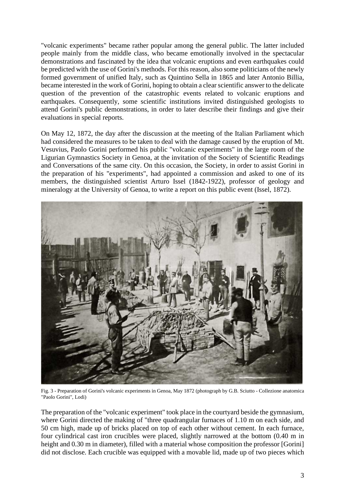"volcanic experiments" became rather popular among the general public. The latter included people mainly from the middle class, who became emotionally involved in the spectacular demonstrations and fascinated by the idea that volcanic eruptions and even earthquakes could be predicted with the use of Gorini's methods. For this reason, also some politicians of the newly formed government of unified Italy, such as Quintino Sella in 1865 and later Antonio Billia, became interested in the work of Gorini, hoping to obtain a clear scientific answer to the delicate question of the prevention of the catastrophic events related to volcanic eruptions and earthquakes. Consequently, some scientific institutions invited distinguished geologists to attend Gorini's public demonstrations, in order to later describe their findings and give their evaluations in special reports.

On May 12, 1872, the day after the discussion at the meeting of the Italian Parliament which had considered the measures to be taken to deal with the damage caused by the eruption of Mt. Vesuvius, Paolo Gorini performed his public "volcanic experiments" in the large room of the Ligurian Gymnastics Society in Genoa, at the invitation of the Society of Scientific Readings and Conversations of the same city. On this occasion, the Society, in order to assist Gorini in the preparation of his "experiments", had appointed a commission and asked to one of its members, the distinguished scientist Arturo Issel (1842-1922), professor of geology and mineralogy at the University of Genoa, to write a report on this public event (Issel, 1872).



Fig. 3 - Preparation of Gorini's volcanic experiments in Genoa, May 1872 (photograph by G.B. Sciutto - Collezione anatomica "Paolo Gorini", Lodi)

The preparation of the "volcanic experiment" took place in the courtyard beside the gymnasium, where Gorini directed the making of "three quadrangular furnaces of 1.10 m on each side, and 50 cm high, made up of bricks placed on top of each other without cement. In each furnace, four cylindrical cast iron crucibles were placed, slightly narrowed at the bottom (0.40 m in height and 0.30 m in diameter), filled with a material whose composition the professor [Gorini] did not disclose. Each crucible was equipped with a movable lid, made up of two pieces which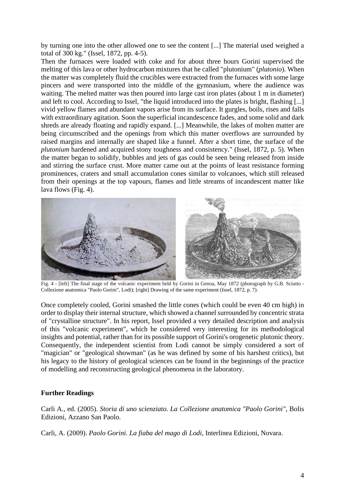by turning one into the other allowed one to see the content [...] The material used weighed a total of 300 kg." (Issel, 1872, pp. 4-5).

Then the furnaces were loaded with coke and for about three hours Gorini supervised the melting of this lava or other hydrocarbon mixtures that he called "plutonium" (*plutonio*). When the matter was completely fluid the crucibles were extracted from the furnaces with some large pincers and were transported into the middle of the gymnasium, where the audience was waiting. The melted matter was then poured into large cast iron plates (about 1 m in diameter) and left to cool. According to Issel, "the liquid introduced into the plates is bright, flashing [...] vivid yellow flames and abundant vapors arise from its surface. It gurgles, boils, rises and falls with extraordinary agitation. Soon the superficial incandescence fades, and some solid and dark shreds are already floating and rapidly expand. [...] Meanwhile, the lakes of molten matter are being circumscribed and the openings from which this matter overflows are surrounded by raised margins and internally are shaped like a funnel. After a short time, the surface of the *plutonium* hardened and acquired stony toughness and consistency." (Issel, 1872, p. 5). When the matter began to solidify, bubbles and jets of gas could be seen being released from inside and stirring the surface crust. More matter came out at the points of least resistance forming prominences, craters and small accumulation cones similar to volcanoes, which still released from their openings at the top vapours, flames and little streams of incandescent matter like lava flows (Fig. 4).



 Fig. 4 - [left] The final stage of the volcanic experiment held by Gorini in Genoa, May 1872 (photograph by G.B. Sciutto - Collezione anatomica "Paolo Gorini", Lodi); [right] Drawing of the same experiment (Issel, 1872, p. 7).

Once completely cooled, Gorini smashed the little cones (which could be even 40 cm high) in order to display their internal structure, which showed a channel surrounded by concentric strata of "crystalline structure". In his report, Issel provided a very detailed description and analysis of this "volcanic experiment", which he considered very interesting for its methodological insights and potential, rather than for its possible support of Gorini's orogenetic plutonic theory. Consequently, the independent scientist from Lodi cannot be simply considered a sort of "magician" or "geological showman" (as he was defined by some of his harshest critics), but his legacy to the history of geological sciences can be found in the beginnings of the practice of modelling and reconstructing geological phenomena in the laboratory.

## **Further Readings**

Carli A., ed. (2005). *Storia di uno scienziato. La Collezione anatomica "Paolo Gorini"*, Bolis Edizioni, Azzano San Paolo.

Carli, A. (2009). *Paolo Gorini. La fiaba del mago di Lodi*, Interlinea Edizioni, Novara.